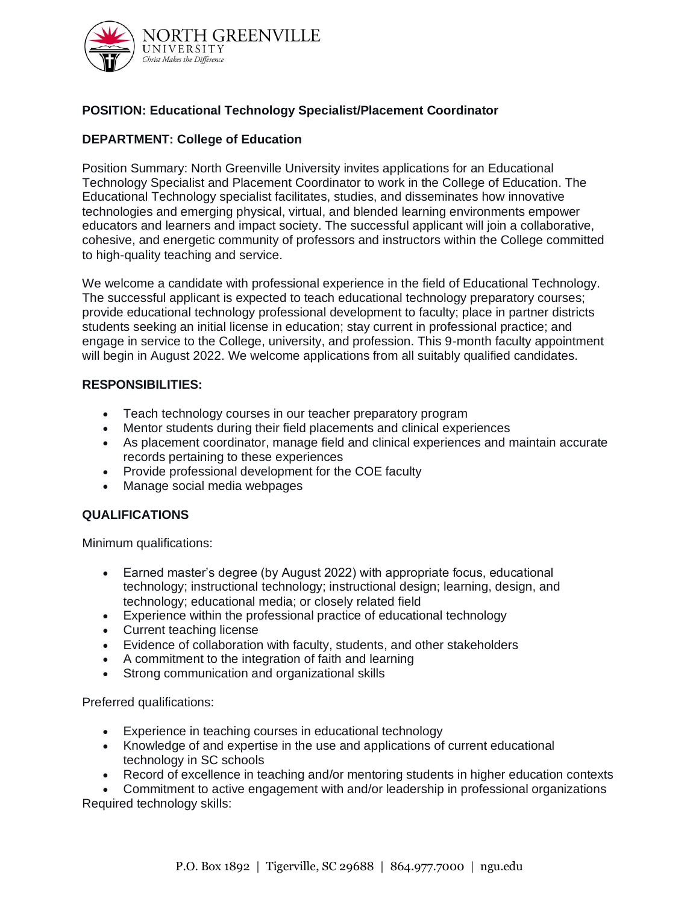

# **POSITION: Educational Technology Specialist/Placement Coordinator**

### **DEPARTMENT: College of Education**

Position Summary: North Greenville University invites applications for an Educational Technology Specialist and Placement Coordinator to work in the College of Education. The Educational Technology specialist facilitates, studies, and disseminates how innovative technologies and emerging physical, virtual, and blended learning environments empower educators and learners and impact society. The successful applicant will join a collaborative, cohesive, and energetic community of professors and instructors within the College committed to high-quality teaching and service.

We welcome a candidate with professional experience in the field of Educational Technology. The successful applicant is expected to teach educational technology preparatory courses; provide educational technology professional development to faculty; place in partner districts students seeking an initial license in education; stay current in professional practice; and engage in service to the College, university, and profession. This 9-month faculty appointment will begin in August 2022. We welcome applications from all suitably qualified candidates.

#### **RESPONSIBILITIES:**

- Teach technology courses in our teacher preparatory program
- Mentor students during their field placements and clinical experiences
- As placement coordinator, manage field and clinical experiences and maintain accurate records pertaining to these experiences
- Provide professional development for the COE faculty
- Manage social media webpages

# **QUALIFICATIONS**

Minimum qualifications:

- Earned master's degree (by August 2022) with appropriate focus, educational technology; instructional technology; instructional design; learning, design, and technology; educational media; or closely related field
- Experience within the professional practice of educational technology
- Current teaching license
- Evidence of collaboration with faculty, students, and other stakeholders
- A commitment to the integration of faith and learning
- Strong communication and organizational skills

Preferred qualifications:

- Experience in teaching courses in educational technology
- Knowledge of and expertise in the use and applications of current educational technology in SC schools
- Record of excellence in teaching and/or mentoring students in higher education contexts

• Commitment to active engagement with and/or leadership in professional organizations Required technology skills: